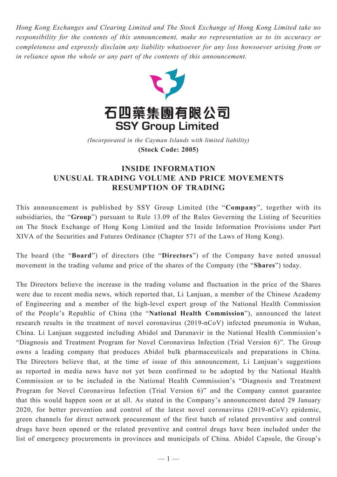*Hong Kong Exchanges and Clearing Limited and The Stock Exchange of Hong Kong Limited take no responsibility for the contents of this announcement, make no representation as to its accuracy or completeness and expressly disclaim any liability whatsoever for any loss howsoever arising from or in reliance upon the whole or any part of the contents of this announcement.*



(Incorporated in the Cayman Islands with limited liability) **(Stock Code: 2005)** *(Incorporated in the Cayman Islands with limited liability)* **(Stock Code: 2005)**

## **INSIDE INFORMATION UNUSUAL TRADING VOLUME AND PRICE MOVEMENTS RESUMPTION OF TRADING**

This announcement is published by SSY Group Limited (the "**Company**", together with its subsidiaries, the "**Group**") pursuant to Rule 13.09 of the Rules Governing the Listing of Securities on The Stock Exchange of Hong Kong Limited and the Inside Information Provisions under Part XIVA of the Securities and Futures Ordinance (Chapter 571 of the Laws of Hong Kong).

The board (the "**Board**") of directors (the "**Directors**") of the Company have noted unusual movement in the trading volume and price of the shares of the Company (the "**Shares**") today.

The Directors believe the increase in the trading volume and fluctuation in the price of the Shares were due to recent media news, which reported that, Li Lanjuan, a member of the Chinese Academy of Engineering and a member of the high-level expert group of the National Health Commission of the People's Republic of China (the "**National Health Commission**"), announced the latest research results in the treatment of novel coronavirus (2019-nCoV) infected pneumonia in Wuhan, China. Li Lanjuan suggested including Abidol and Darunavir in the National Health Commission's "Diagnosis and Treatment Program for Novel Coronavirus Infection (Trial Version 6)". The Group owns a leading company that produces Abidol bulk pharmaceuticals and preparations in China. The Directors believe that, at the time of issue of this announcement, Li Lanjuan's suggestions as reported in media news have not yet been confirmed to be adopted by the National Health Commission or to be included in the National Health Commission's "Diagnosis and Treatment Program for Novel Coronavirus Infection (Trial Version 6)" and the Company cannot guarantee that this would happen soon or at all. As stated in the Company's announcement dated 29 January 2020, for better prevention and control of the latest novel coronavirus (2019-nCoV) epidemic, green channels for direct network procurement of the first batch of related preventive and control drugs have been opened or the related preventive and control drugs have been included under the list of emergency procurements in provinces and municipals of China. Abidol Capsule, the Group's